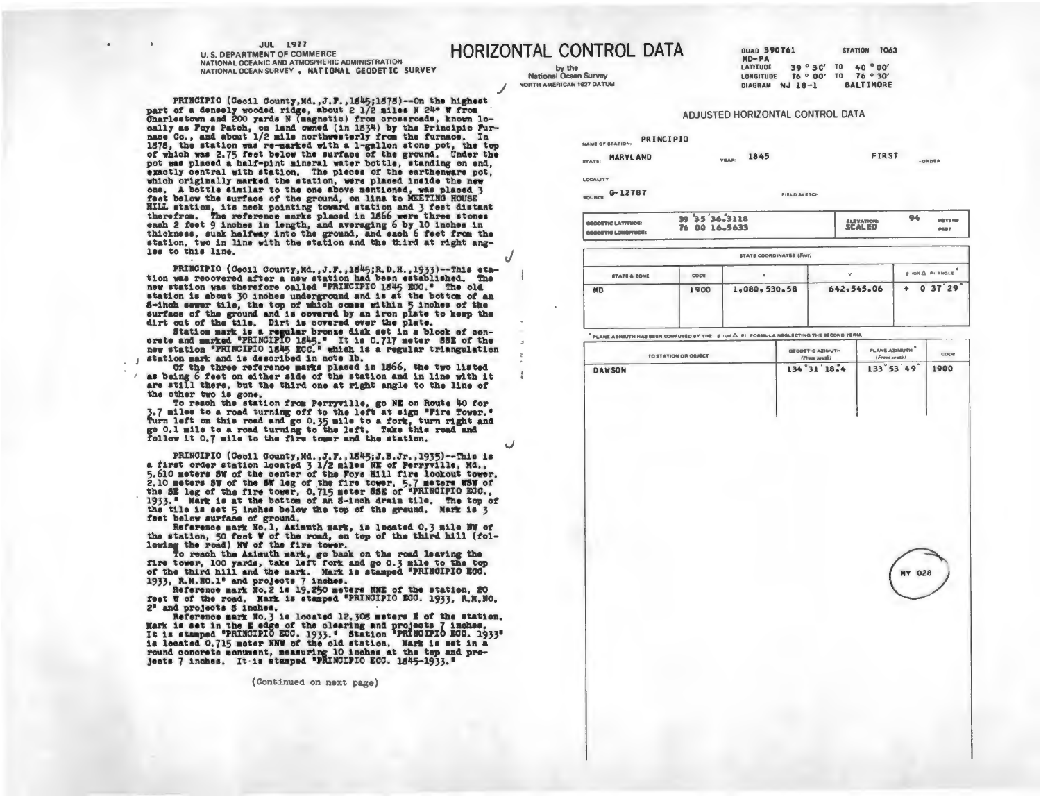## **JUL 1977**

les to this line.

**U. S. DEPARTMENT OF COMMERCE** NATIONAL OCEANIC AND ATMOSPHERIC ADMINISTRATION NATIONAL OCEAN SURVEY, NATIONAL GEODETIC SURVEY

PRINCIPIO (Cecil County, Md., J.F., 1845;1878) -- On the highest part of a densely wooded ridge, about 2 1/2 miles N 24° W from Charlestown and 200 yards N (magnetic) from crossroads, known lo-

cally as Foys Patch, on land owned (in 1834) by the Principic Furnace Co., and about 1/2 mile northwesterly from the furnace. In

1878, the station was re-marked with a 1-gallon stone pot, the top of which was 2.75 feet below the surface of the ground. Under the

pot was placed a half-pint mineral water bottle, standing on end, exactly central with station. The pieces of the earthenware pot, which originally marked the station, were placed inside the new

one. A bottle similar to the one above mentioned, was placed 3

**HORIZONTAL CONTROL DATA** 

by the **National Ocean Survey** NORTH AMERICAN 1927 DATUM QUAD 390761 **STATION 1063**  $MD-PA$ 39°30' TO 40°00' **LATITUDE** LONGITUDE 76 ° 00' TO 76 ° 30' DIAGRAM NJ 18-1 **BALTIMORE** 

**ORDER** 

## ADJUSTED HORIZONTAL CONTROL DATA

PRINCIPIO **NAME OF STATION:** 

STATE: MARYLAND FIRST 1845 VEAR:

LOCALITY

source G-12787

**FILLD SKETCH** 

| 39 35 36.3118<br><b>GEODETIC LATITUDE:</b><br>76 00 16.5633<br><b>GEOGETIC LOMBITUDE:</b> | <b>SCALED</b> | $\mathbf{a}$ | <b>METERS</b><br>PERT |
|-------------------------------------------------------------------------------------------|---------------|--------------|-----------------------|
|-------------------------------------------------------------------------------------------|---------------|--------------|-----------------------|

| $0.1098$ $\triangle$ $0.100018$ |
|---------------------------------|
| 037'29'                         |
|                                 |

PLANE AZIMUTH HAS SEEN COMPUTED BY THE  $\beta$  IOR  $\Delta$  SI FORMULA NEGLECTING THE SECOND TERM.

| TO STATION OR OBJECT | GEODETIC AZIMUTH<br>(Prom south) | PLANE AZIMUTH<br>(From south) | cope |
|----------------------|----------------------------------|-------------------------------|------|
| <b>DAWSON</b>        | 134°31'18.4                      | 133°53'49"                    | 1900 |
|                      |                                  |                               |      |
|                      |                                  |                               |      |
|                      |                                  |                               |      |
|                      |                                  | <b>MY 028</b>                 |      |
|                      |                                  |                               |      |
|                      |                                  |                               |      |
|                      |                                  |                               |      |

feet below the surface of the ground, on line to MEETING HOUSE HILL station, its neck pointing toward station and 3 feet distant therefrom. The reference marks placed in 1566 were three stones each 2 feet 9 inches in length, and averaging 6 by 10 inches in thickness, sunk halfway into the ground, and each 6 feet from the station, two in line with the station and the third at right ang-

PRINGIPIO (Cecil County, Md., J.F., 1845; R.D.H., 1933)--This eta-<br>tion was recovered after a new station had been established. The new station was therefore called "PRINCIPIO 1845 ECC." The old station is about 30 inches underground and is at the bottom of an 8-inch sever tile, the top of which comes within 5 inches of the surface of the ground and is covered by an iron plate to keep the dirt out of the tile. Dirt is covered over the plate.

Station mark is a regular bronse disk set in a block of con-<br>orse and marked "PRINCIPIO 1845," It is 0.717 meter SSE of the<br>new station "PRINCIPIO 1845 EOC." which is a regular triangulation<br>station mark and is described i

Of the three reference marks placed in 1566, the two listed as being 6 feet on either side of the station and in line with it are still there, but the third one at right angle to the line of

the other two is gone. To reach the station from Perryville, go NE on Route 40 for 3.7 miles to a road turning off to the left at sign "Fire Tower."<br>Turn left on this road and go 0.35 mile to a fork, turn right and go 0.1 mile to a road turning to the left. Take this road and follow it 0.7 mile to the fire tower and the station.

PRINCIPIO (Cecil County, Md., J.F., 1545; J.B.Jr., 1935)--This is<br>a first order station located 3 1/2 miles NE of Perryville, Md., a risk order swation incated  $y$  is miller and in the location force.<br>5.10 meters SW of the SW leg of the fire tower, 5.7 meters WSW of<br>the SE leg of the fire tower, 0.715 meters SSE of "PRINCIPIO ECO.,<br>1933." Mark is at the tile is set 5 inches below the top of the ground. Mark is 3 feet below surface of ground.

Reference mark No.1, Azimuth mark, is located 0.3 mile NW of the station, 50 feet W of the road, on top of the third hill (following the road) NW of the fire tower.

forward we road the Azimuth mark, go back on the road leaving the<br>fire tower, 100 yards, take left fork and go 0.3 mile to the top<br>of the third hill and the mark. Mark is stamped "PRINCIPIO EGC. 1933, R.M. HO.1° and projects 7 inches.<br>Reference mark No.2 is 19.250 meters NNE of the station, 20

feet W of the road. Mark is stamped "PRINCIPIO ECC. 1933, R.M.NO.  $2<sup>0</sup>$ and projects S inches.

2- and projects 5 inches.<br>Reference mark Ho. 3 is located 12.305 meters E of the station.<br>Nark is set in the E edge of the clearing and projects 7 inches.<br>It is stamped "PRINCIPIO ECC. 1933." Station "PRINCIPIO ECC. 1933"<br>

(Continued on next page)